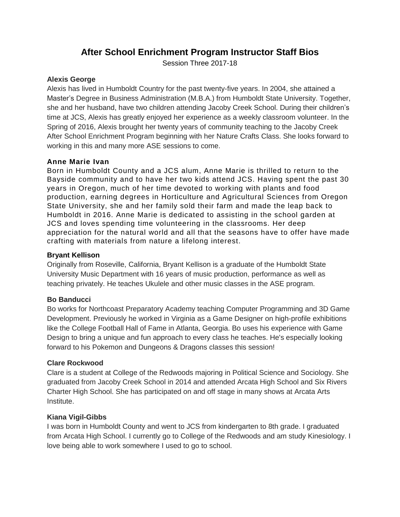# **After School Enrichment Program Instructor Staff Bios**

Session Three 2017-18

#### **Alexis George**

Alexis has lived in Humboldt Country for the past twenty-five years. In 2004, she attained a Master's Degree in Business Administration (M.B.A.) from Humboldt State University. Together, she and her husband, have two children attending Jacoby Creek School. During their children's time at JCS, Alexis has greatly enjoyed her experience as a weekly classroom volunteer. In the Spring of 2016, Alexis brought her twenty years of community teaching to the Jacoby Creek After School Enrichment Program beginning with her Nature Crafts Class. She looks forward to working in this and many more ASE sessions to come.

### **Anne Marie Ivan**

Born in Humboldt County and a JCS alum, Anne Marie is thrilled to return to the Bayside community and to have her two kids attend JCS. Having spent the past 30 years in Oregon, much of her time devoted to working with plants and food production, earning degrees in Horticulture and Agricultural Sciences from Oregon State University, she and her family sold their farm and made the leap back to Humboldt in 2016. Anne Marie is dedicated to assisting in the school garden at JCS and loves spending time volunteering in the classrooms. Her deep appreciation for the natural world and all that the seasons have to offer have made crafting with materials from nature a lifelong interest.

### **Bryant Kellison**

Originally from Roseville, California, Bryant Kellison is a graduate of the Humboldt State University Music Department with 16 years of music production, performance as well as teaching privately. He teaches Ukulele and other music classes in the ASE program.

#### **Bo Banducci**

Bo works for Northcoast Preparatory Academy teaching Computer Programming and 3D Game Development. Previously he worked in Virginia as a Game Designer on high-profile exhibitions like the College Football Hall of Fame in Atlanta, Georgia. Bo uses his experience with Game Design to bring a unique and fun approach to every class he teaches. He's especially looking forward to his Pokemon and Dungeons & Dragons classes this session!

#### **Clare Rockwood**

Clare is a student at College of the Redwoods majoring in Political Science and Sociology. She graduated from Jacoby Creek School in 2014 and attended Arcata High School and Six Rivers Charter High School. She has participated on and off stage in many shows at Arcata Arts Institute.

#### **Kiana Vigil-Gibbs**

I was born in Humboldt County and went to JCS from kindergarten to 8th grade. I graduated from Arcata High School. I currently go to College of the Redwoods and am study Kinesiology. I love being able to work somewhere I used to go to school.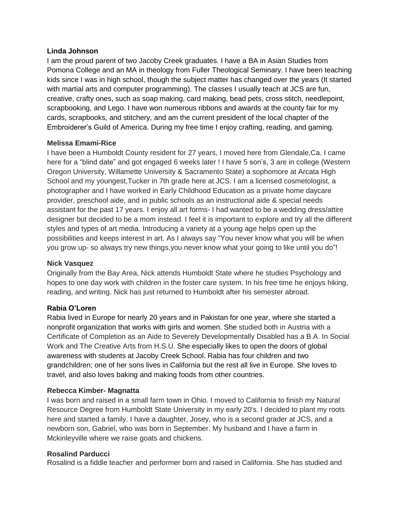#### **Linda Johnson**

I am the proud parent of two Jacoby Creek graduates. I have a BA in Asian Studies from Pomona College and an MA in theology from Fuller Theological Seminary. I have been teaching kids since I was in high school, though the subject matter has changed over the years (It started with martial arts and computer programming). The classes I usually teach at JCS are fun, creative, crafty ones, such as soap making, card making, bead pets, cross stitch, needlepoint, scrapbooking, and Lego. I have won numerous ribbons and awards at the county fair for my cards, scrapbooks, and stitchery, and am the current president of the local chapter of the Embroiderer's Guild of America. During my free time I enjoy crafting, reading, and gaming.

### **Melissa Emami-Rice**

I have been a Humboldt County resident for 27 years, I moved here from Glendale,Ca. I came here for a "blind date" and got engaged 6 weeks later ! I have 5 son's, 3 are in college (Western Oregon University, Willamette University & Sacramento State) a sophomore at Arcata High School and my youngest,Tucker in 7th grade here at JCS. I am a licensed cosmetologist, a photographer and I have worked in Early Childhood Education as a private home daycare provider, preschool aide, and in public schools as an instructional aide & special needs assistant for the past 17 years. I enjoy all art forms- I had wanted to be a wedding dress/attire designer but decided to be a mom instead. I feel it is important to explore and try all the different styles and types of art media. Introducing a variety at a young age helps open up the possibilities and keeps interest in art. As I always say "You never know what you will be when you grow up- so always try new things,you never know what your going to like until you do"!

## **Nick Vasquez**

Originally from the Bay Area, Nick attends Humboldt State where he studies Psychology and hopes to one day work with children in the foster care system. In his free time he enjoys hiking, reading, and writing. Nick has just returned to Humboldt after his semester abroad.

## **Rabia O'Loren**

Rabia lived in Europe for nearly 20 years and in Pakistan for one year, where she started a nonprofit organization that works with girls and women. She studied both in Austria with a Certificate of Completion as an Aide to Severely Developmentally Disabled has a B.A. In Social Work and The Creative Arts from H.S.U. She especially likes to open the doors of global awareness with students at Jacoby Creek School. Rabia has four children and two grandchildren; one of her sons lives in California but the rest all live in Europe. She loves to travel, and also loves baking and making foods from other countries.

#### **Rebecca Kimber- Magnatta**

I was born and raised in a small farm town in Ohio. I moved to California to finish my Natural Resource Degree from Humboldt State University in my early 20's. I decided to plant my roots here and started a family. I have a daughter, Josey, who is a second grader at JCS, and a newborn son, Gabriel, who was born in September. My husband and I have a farm in Mckinleyville where we raise goats and chickens.

#### **Rosalind Parducci**

Rosalind is a fiddle teacher and performer born and raised in California. She has studied and